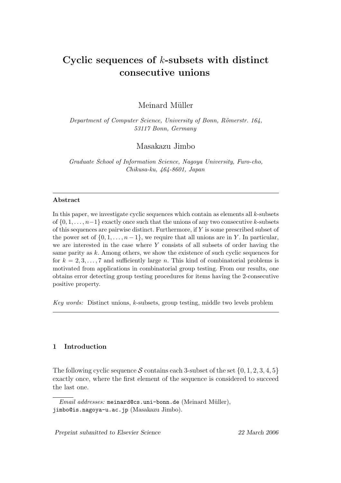# Cyclic sequences of  $k$ -subsets with distinct consecutive unions

Meinard Müller

Department of Computer Science, University of Bonn, Römerstr. 164, 53117 Bonn, Germany

Masakazu Jimbo

Graduate School of Information Science, Nagoya University, Furo-cho, Chikusa-ku, 464-8601, Japan

## Abstract

In this paper, we investigate cyclic sequences which contain as elements all k-subsets of  $\{0, 1, \ldots, n-1\}$  exactly once such that the unions of any two consecutive k-subsets of this sequences are pairwise distinct. Furthermore, if  $Y$  is some prescribed subset of the power set of  $\{0, 1, \ldots, n-1\}$ , we require that all unions are in Y. In particular, we are interested in the case where Y consists of all subsets of order having the same parity as k. Among others, we show the existence of such cyclic sequences for for  $k = 2, 3, \ldots, 7$  and sufficiently large n. This kind of combinatorial problems is motivated from applications in combinatorial group testing. From our results, one obtains error detecting group testing procedures for items having the 2-consecutive positive property.

Key words: Distinct unions, k-subsets, group testing, middle two levels problem

# 1 Introduction

The following cyclic sequence S contains each 3-subset of the set  $\{0, 1, 2, 3, 4, 5\}$ exactly once, where the first element of the sequence is considered to succeed the last one.

Email addresses: meinard@cs.uni-bonn.de (Meinard Müller), jimbo@is.nagoya-u.ac.jp (Masakazu Jimbo).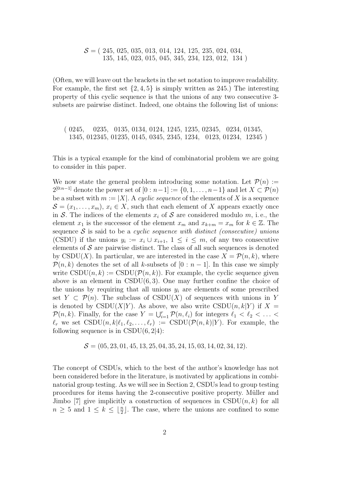$S = (245, 025, 035, 013, 014, 124, 125, 235, 024, 034,$ 135, 145, 023, 015, 045, 345, 234, 123, 012, 134 )

(Often, we will leave out the brackets in the set notation to improve readability. For example, the first set  $\{2, 4, 5\}$  is simply written as 245.) The interesting property of this cyclic sequence is that the unions of any two consecutive 3 subsets are pairwise distinct. Indeed, one obtains the following list of unions:

( 0245, 0235, 0135, 0134, 0124, 1245, 1235, 02345, 0234, 01345, 1345, 012345, 01235, 0145, 0345, 2345, 1234, 0123, 01234, 12345 )

This is a typical example for the kind of combinatorial problem we are going to consider in this paper.

We now state the general problem introducing some notation. Let  $\mathcal{P}(n) :=$  $2^{[0:n-1]}$  denote the power set of  $[0:n-1] := \{0,1,\ldots,n-1\}$  and let  $X \subset \mathcal{P}(n)$ be a subset with  $m := |X|$ . A cyclic sequence of the elements of X is a sequence  $\mathcal{S} = (x_1, \ldots, x_m), x_i \in X$ , such that each element of X appears exactly once in S. The indices of the elements  $x_i$  of S are considered modulo m, i.e., the element  $x_1$  is the successor of the element  $x_m$  and  $x_{k+m} = x_m$  for  $k \in \mathbb{Z}$ . The sequence  $S$  is said to be a cyclic sequence with distinct (consecutive) unions (CSDU) if the unions  $y_i := x_i \cup x_{i+1}, 1 \leq i \leq m$ , of any two consecutive elements of  $S$  are pairwise distinct. The class of all such sequences is denoted by CSDU(X). In particular, we are interested in the case  $X = \mathcal{P}(n, k)$ , where  $\mathcal{P}(n, k)$  denotes the set of all k-subsets of  $[0 : n-1]$ . In this case we simply write  $\text{CSDU}(n, k) := \text{CSDU}(\mathcal{P}(n, k))$ . For example, the cyclic sequence given above is an element in  $\text{CSDU}(6, 3)$ . One may further confine the choice of the unions by requiring that all unions  $y_i$  are elements of some prescribed set  $Y \subset \mathcal{P}(n)$ . The subclass of CSDU(X) of sequences with unions in Y is denoted by CSDU(X|Y). As above, we also write CSDU(n, k|Y) if  $X =$  $\mathcal{P}(n, k)$ . Finally, for the case  $Y = \bigcup_{i=1}^r \mathcal{P}(n, \ell_i)$  for integers  $\ell_1 < \ell_2 < \ldots <$  $\ell_r$  we set  $\text{CSDU}(n, k|\ell_1, \ell_2, \ldots, \ell_r) := \text{CSDU}(\mathcal{P}(n, k)|Y)$ . For example, the following sequence is in  $\text{CSDU}(6, 2|4)$ :

$$
S = (05, 23, 01, 45, 13, 25, 04, 35, 24, 15, 03, 14, 02, 34, 12).
$$

The concept of CSDUs, which to the best of the author's knowledge has not been considered before in the literature, is motivated by applications in combinatorial group testing. As we will see in Section 2, CSDUs lead to group testing procedures for items having the 2-consecutive positive property. M¨uller and Jimbo [7] give implicitly a construction of sequences in  $\text{CSDU}(n, k)$  for all  $n \geq 5$  and  $1 \leq k \leq \lfloor \frac{n}{2} \rfloor$ . The case, where the unions are confined to some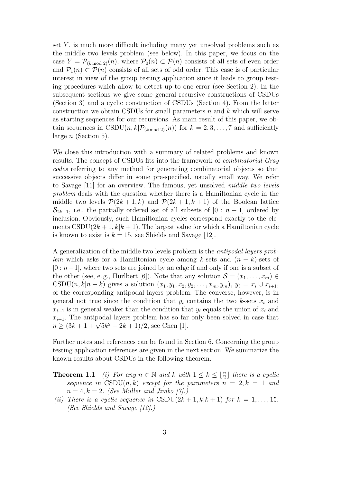set  $Y$ , is much more difficult including many yet unsolved problems such as the middle two levels problem (see below). In this paper, we focus on the case  $Y = \mathcal{P}_{(k \mod 2)}(n)$ , where  $\mathcal{P}_0(n) \subset \mathcal{P}(n)$  consists of all sets of even order and  $\mathcal{P}_1(n) \subset \mathcal{P}(n)$  consists of all sets of odd order. This case is of particular interest in view of the group testing application since it leads to group testing procedures which allow to detect up to one error (see Section 2). In the subsequent sections we give some general recursive constructions of CSDUs (Section 3) and a cyclic construction of CSDUs (Section 4). From the latter construction we obtain CSDUs for small parameters  $n$  and  $k$  which will serve as starting sequences for our recursions. As main result of this paper, we obtain sequences in CSDU $(n, k | \mathcal{P}_{(k \mod 2)}(n))$  for  $k = 2, 3, ..., 7$  and sufficiently large  $n$  (Section 5).

We close this introduction with a summary of related problems and known results. The concept of CSDUs fits into the framework of combinatorial Gray codes referring to any method for generating combinatorial objects so that successive objects differ in some pre-specified, usually small way. We refer to Savage [11] for an overview. The famous, yet unsolved middle two levels problem deals with the question whether there is a Hamiltonian cycle in the middle two levels  $\mathcal{P}(2k+1,k)$  and  $\mathcal{P}(2k+1,k+1)$  of the Boolean lattice  $\mathcal{B}_{2k+1}$ , i.e., the partially ordered set of all subsets of  $[0 : n-1]$  ordered by inclusion. Obviously, such Hamiltonian cycles correspond exactly to the elements  $\text{CSDU}(2k+1, k|k+1)$ . The largest value for which a Hamiltonian cycle is known to exist is  $k = 15$ , see Shields and Savage [12].

A generalization of the middle two levels problem is the antipodal layers problem which asks for a Hamiltonian cycle among k-sets and  $(n - k)$ -sets of  $[0 : n-1]$ , where two sets are joined by an edge if and only if one is a subset of the other (see, e.g., Hurlbert [6]). Note that any solution  $\mathcal{S} = (x_1, \ldots, x_m) \in$ CSDU $(n, k|n - k)$  gives a solution  $(x_1, y_1, x_2, y_2, \ldots, x_m, y_m)$ ,  $y_i = x_i \cup x_{i+1}$ , of the corresponding antipodal layers problem. The converse, however, is in general not true since the condition that  $y_i$  contains the two k-sets  $x_i$  and  $x_{i+1}$  is in general weaker than the condition that  $y_i$  equals the union of  $x_i$  and  $x_{i+1}$ . The antipodal layers problem has so far only been solved in case that  $x_{i+1}$ . The antipodal layers problem has so far<br>  $n \geq (3k+1+\sqrt{5k^2-2k+1})/2$ , see Chen [1].

Further notes and references can be found in Section 6. Concerning the group testing application references are given in the next section. We summarize the known results about CSDUs in the following theorem.

**Theorem 1.1** (i) For any  $n \in \mathbb{N}$  and k with  $1 \leq k \leq \lfloor \frac{n}{2} \rfloor$  there is a cyclic sequence in  $\text{CSDU}(n, k)$  except for the parameters  $n = 2, k = 1$  and  $n = 4, k = 2.$  (See Müller and Jimbo [7].)

(ii) There is a cyclic sequence in CSDU(2k + 1, k|k + 1) for  $k = 1, \ldots, 15$ . (See Shields and Savage [12].)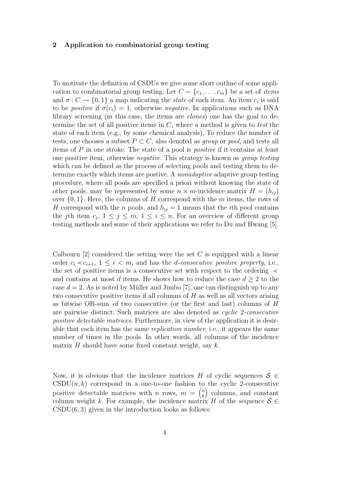#### 2 Application to combinatorial group testing

To motivate the definition of CSDUs we give some short outline of some application to combinatorial group testing. Let  $C = \{c_1, \ldots, c_m\}$  be a set of *items* and  $\sigma: C \to \{0, 1\}$  a map indicating the *state* of each item. An item  $c_i$  is said to be *positive* if  $\sigma(c_i) = 1$ , otherwise *negative*. In applications such as DNA library screening (in this case, the items are *clones*) one has the goal to determine the set of all positive items in  $C$ , where a method is given to test the state of each item (e.g., by some chemical analysis). To reduce the number of tests, one chooses a subset  $P \subset C$ , also denoted as group or pool, and tests all items of P in one stroke. The state of a pool is positive if it contains at least one positive item, otherwise negative. This strategy is known as group testing which can be defined as the process of selecting pools and testing them to determine exactly which items are postive. A nonadaptive adaptive group testing procedure, where all pools are specified a priori without knowing the state of other pools, may be represented by some  $n \times m$ -incidence matrix  $H = (h_{ij})$ over  $\{0, 1\}$ . Here, the columns of H correspond with the m items, the rows of H correspond with the n pools, and  $h_{ij} = 1$  means that the *i*th pool contains the jth item  $c_j$ ,  $1 \leq j \leq m$ ,  $1 \leq i \leq n$ . For an overview of different group testing methods and some of their applications we refer to Du and Hwang [5].

Colbourn  $[2]$  considered the setting were the set C is equipped with a linear order  $c_i \prec c_{i+1}$ ,  $1 \leq i \leq m$ , and has the *d*-consecutive positive property, i.e., the set of positive items is a consecutive set with respect to the ordering ≺ and contains at most d items. He shows how to reduce the case  $d \geq 2$  to the case  $d = 2$ . As is noted by Müller and Jimbo [7], one can distinguish up to any two consecutive positive items if all columns of  $H$  as well as all vectors arising as bitwise OR-sum of two consecutive (or the first and last) columns of H are pairwise distinct. Such matrices are also denoted as cyclic 2-consecutive positive detectable matrices. Furthermore, in view of the application it is desirable that each item has the same replication number, i.e., it appears the same number of times in the pools. In other words, all columns of the incidence matrix  $H$  should have some fixed constant weight, say  $k$ .

Now, it is obvious that the incidence matrices H of cyclic sequences  $S \in$ CSDU $(n, k)$  correspond in a one-to-one fashion to the cyclic 2-consecutive positive detectable matrices with *n* rows,  $m = \binom{n}{k}$  $\binom{n}{k}$  columns, and constant column weight k. For example, the incidence matrix H of the sequence  $S \in$  $\text{CSDU}(6, 3)$  given in the introduction looks as follows: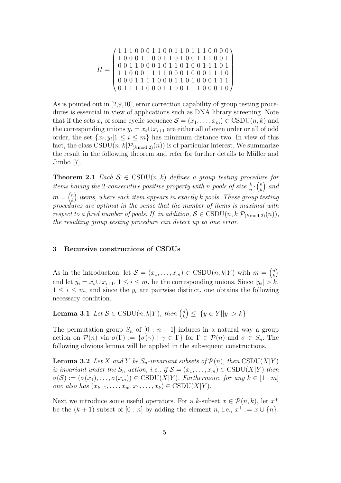$$
H = \left(\begin{array}{rrrrrr} 1 & 1 & 1 & 0 & 0 & 0 & 1 & 1 & 0 & 0 & 1 & 1 & 0 & 1 & 1 & 1 & 0 & 0 & 0 & 0 \\ 1 & 0 & 0 & 0 & 1 & 1 & 0 & 0 & 1 & 1 & 0 & 0 & 0 & 1 & 1 & 1 & 0 & 0 & 1 \\ 0 & 0 & 1 & 1 & 0 & 0 & 0 & 1 & 0 & 1 & 0 & 1 & 0 & 1 & 1 & 1 & 0 & 1 \\ 1 & 1 & 0 & 0 & 0 & 1 & 1 & 1 & 1 & 0 & 0 & 0 & 1 & 1 & 1 & 0 & 0 \\ 0 & 0 & 0 & 1 & 1 & 1 & 1 & 0 & 0 & 0 & 1 & 1 & 0 & 0 & 0 & 1 & 1 & 1 \\ 0 & 1 & 1 & 1 & 1 & 0 & 0 & 0 & 1 & 1 & 0 & 0 & 0 & 1 & 0 & 0 \end{array}\right)
$$

As is pointed out in [2,9,10], error correction capability of group testing procedures is essential in view of applications such as DNA library screening. Note that if the sets  $x_i$  of some cyclic sequence  $\mathcal{S} = (x_1, \ldots, x_m) \in \text{CSDU}(n, k)$  and the corresponding unions  $y_i = x_i \cup x_{i+1}$  are either all of even order or all of odd order, the set  $\{x_i, y_i | 1 \leq i \leq m\}$  has minimum distance two. In view of this fact, the class  $\text{CSDU}(n, k|\mathcal{P}_{(k \mod 2)}(n))$  is of particular interest. We summarize the result in the following theorem and refer for further details to Müller and Jimbo [7].

**Theorem 2.1** Each  $S \in \text{CSDU}(n,k)$  defines a group testing procedure for items having the 2-consecutive positive property with n pools of size  $\frac{k}{n} \cdot {n \choose k}$ s having the 2-consecutive positive property with n pools of size  $\frac{k}{n} \cdot {n \choose k}$  and  $m = \binom{n}{k}$  $\binom{n}{k}$  items, where each item appears in exactly  $k$  pools. These group testing procedures are optimal in the sense that the number of items is maximal with respect to a fixed number of pools. If, in addition,  $S \in \text{CSDU}(n, k | \mathcal{P}_{(k \mod 2)}(n)),$ the resulting group testing procedure can detect up to one error.

#### 3 Recursive constructions of CSDUs

As in the introduction, let  $\mathcal{S} = (x_1, \ldots, x_m) \in \text{CSDU}(n, k|Y)$  with  $m = \binom{n}{k}$  $\overline{a}$ k ´ and let  $y_i = x_i \cup x_{i+1}, 1 \le i \le m$ , be the corresponding unions. Since  $|y_i| > k$ ,  $1 \leq i \leq m$ , and since the  $y_i$  are pairwise distinct, one obtains the following necessary condition.

**Lemma 3.1** Let  $S \in \text{CSDU}(n, k|Y)$ , then  $\binom{n}{k}$ k ´  $\leq |\{y \in Y | |y| > k\}|.$ 

The permutation group  $S_n$  of  $[0 : n-1]$  induces in a natural way a group action on  $\mathcal{P}(n)$  via  $\sigma(\Gamma) := {\sigma(\gamma) \mid \gamma \in \Gamma}$  for  $\Gamma \in \mathcal{P}(n)$  and  $\sigma \in S_n$ . The following obvious lemma will be applied in the subsequent constructions.

**Lemma 3.2** Let X and Y be  $S_n$ -invariant subsets of  $\mathcal{P}(n)$ , then  $\text{CSDU}(X|Y)$ is invariant under the  $S_n$ -action, i.e., if  $S = (x_1, \ldots, x_m) \in \text{CSDU}(X|Y)$  then  $\sigma(S) := (\sigma(x_1), \ldots, \sigma(x_m)) \in \text{CSDU}(X|Y)$ . Furthermore, for any  $k \in [1:m]$ one also has  $(x_{k+1}, \ldots, x_m, x_1, \ldots, x_k) \in \text{CSDU}(X|Y)$ .

Next we introduce some useful operators. For a k-subset  $x \in \mathcal{P}(n,k)$ , let  $x^+$ be the  $(k + 1)$ -subset of  $[0 : n]$  by adding the element n, i.e.,  $x^+ := x \cup \{n\}$ .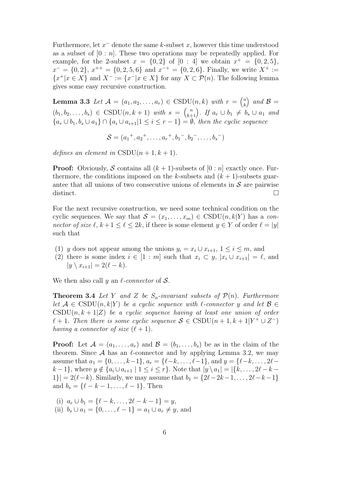Furthermore, let  $x^-$  denote the same k-subset  $x$ , however this time understood as a subset of  $[0 : n]$ . These two operations may be repeatedly applied. For example, for the 2-subset  $x = \{0, 2\}$  of  $[0 : 4]$  we obtain  $x^+ = \{0, 2, 5\}$ ,  $x^- = \{0, 2\}, x^{++} = \{0, 2, 5, 6\}$  and  $x^{-+} = \{0, 2, 6\}.$  Finally, we write  $X^+ :=$  $\{x^+|x \in X\}$  and  $X^- := \{x^-|x \in X\}$  for any  $X \subset \mathcal{P}(n)$ . The following lemma gives some easy recursive construction.

**Lemma 3.3** Let  $\mathcal{A} = (a_1, a_2, \dots, a_r) \in \text{CSDU}(n, k)$  with  $r =$  $\left( n \right)$ k ´ and  $\mathcal{B} =$  $(b_1, b_2, \ldots, b_s) \in \text{CSDU}(n, k+1)$  with  $s =$  $\binom{n}{k+1}$ . If  $a_r \cup b_1 \neq b_s \cup a_1$  and  ${a_r \cup b_1, b_s \cup a_1} \cap {a_i \cup a_{i+1} \mid 1 \leq i \leq r-1} = \emptyset$ , then the cyclic sequence

$$
\mathcal{S} = (a_1^+, a_2^+, \dots, a_r^+, b_1^-, b_2^-, \dots, b_s^-)
$$

defines an element in  $\text{CSDU}(n+1,k+1)$ .

**Proof:** Obviously, S contains all  $(k + 1)$ -subsets of  $[0 : n]$  exactly once. Furthermore, the conditions imposed on the k-subsets and  $(k + 1)$ -subsets guarantee that all unions of two consecutive unions of elements in  $\mathcal S$  are pairwise distinct.  $\Box$ 

For the next recursive construction, we need some technical condition on the cyclic sequences. We say that  $S = (x_1, \ldots, x_m) \in \text{CSDU}(n, k|Y)$  has a connector of size  $\ell, k + 1 \leq \ell \leq 2k$ , if there is some element  $y \in Y$  of order  $\ell = |y|$ such that

- (1) y does not appear among the unions  $y_i = x_i \cup x_{i+1}$ ,  $1 \le i \le m$ , and
- (2) there is some index  $i \in [1:m]$  such that  $x_i \subset y$ ,  $|x_i \cup x_{i+1}| = \ell$ , and  $|y \setminus x_{i+1}| = 2(\ell - k).$

We then also call y an  $\ell$ -connector of S.

**Theorem 3.4** Let Y and Z be  $S_n$ -invariant subsets of  $\mathcal{P}(n)$ . Furthermore let  $A \in \text{CSDU}(n, k|Y)$  be a cyclic sequence with  $\ell$ -connector y and let  $\mathcal{B} \in$  $\mathrm{CSDU}(n, k+1|Z)$  be a cyclic sequence having at least one union of order  $\ell + 1$ . Then there is some cyclic sequence  $S \in \text{CSDU}(n + 1, k + 1|Y^+ \cup Z^-)$ having a connector of size  $(\ell + 1)$ .

**Proof:** Let  $A = (a_1, \ldots, a_r)$  and  $B = (b_1, \ldots, b_s)$  be as in the claim of the theorem. Since  $A$  has an  $\ell$ -connector and by applying Lemma 3.2, we may assume that  $a_1 = \{0, \ldots, k-1\}, a_r = \{\ell-k, \ldots, \ell-1\}, \text{and } y = \{\ell-k, \ldots, 2\ell-1\}$  $k-1\}$ , where  $y \notin \{a_i \cup a_{i+1} \mid 1 \leq i \leq r\}$ . Note that  $|y \setminus a_1| = |\{k, \ldots, 2\ell - k |1\rangle = 2(\ell-k)$ . Similarly, we may assume that  $b_1 = \{2\ell-2k-1, \ldots, 2\ell-k-1\}$ and  $b_s = \{\ell - k - 1, \ldots, \ell - 1\}.$  Then

(i)  $a_r \cup b_1 = \{\ell - k, \ldots, 2\ell - k - 1\} = y,$ (ii)  $b_s \cup a_1 = \{0, \ldots, \ell - 1\} = a_1 \cup a_r \neq y$ , and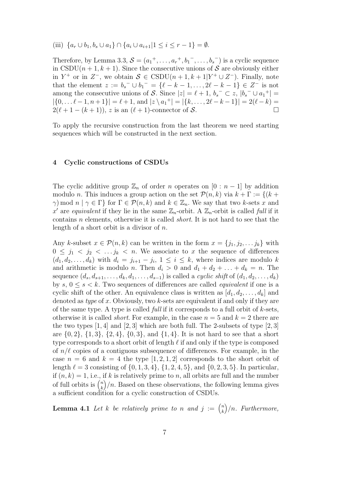(iii)  $\{a_r \cup b_1, b_s \cup a_1\} \cap \{a_i \cup a_{i+1} | 1 \leq i \leq r-1\} = \emptyset.$ 

Therefore, by Lemma 3.3,  $S = (a_1^+, \ldots, a_r^+, b_1^-, \ldots, b_s^-)$  is a cyclic sequence in CSDU( $n + 1, k + 1$ ). Since the consecutive unions of S are obviously either in  $Y^+$  or in  $Z^-$ , we obtain  $S \in \text{CSDU}(n+1, k+1|Y^+ \cup Z^-)$ . Finally, note that the element  $z := b_s^- \cup b_1^- = {\ell - k - 1, ..., 2\ell - k - 1} \in \mathbb{Z}^-$  is not among the consecutive unions of S. Since  $|z| = \ell + 1$ ,  $b_s^- \subset z$ ,  $|b_s^- \cup a_1^+|$  $|\{0, \ldots \ell-1, n+1\}| = \ell+1$ , and  $|z \setminus a_1^+| = |\{k, \ldots, 2\ell-k-1\}| = 2(\ell-k) =$  $2(\ell + 1 - (k + 1)), z$  is an  $(\ell + 1)$ -connector of S.

To apply the recursive construction from the last theorem we need starting sequences which will be constructed in the next section.

#### 4 Cyclic constructions of CSDUs

The cyclic additive group  $\mathbb{Z}_n$  of order n operates on  $[0 : n-1]$  by addition modulo n. This induces a group action on the set  $\mathcal{P}(n, k)$  via  $k + \Gamma := \{(k +$  $\gamma$ ) mod  $n \mid \gamma \in \Gamma$  for  $\Gamma \in \mathcal{P}(n,k)$  and  $k \in \mathbb{Z}_n$ . We say that two k-sets x and x' are equivalent if they lie in the same  $\mathbb{Z}_n$ -orbit. A  $\mathbb{Z}_n$ -orbit is called full if it contains n elements, otherwise it is called short. It is not hard to see that the length of a short orbit is a divisor of  $n$ .

Any k-subset  $x \in \mathcal{P}(n,k)$  can be written in the form  $x = \{j_1, j_2, \ldots j_k\}$  with  $0 \leq j_1 \leq j_2 \leq \ldots j_k \leq n$ . We associate to x the sequence of differences  $(d_1, d_2, \ldots, d_k)$  with  $d_i = j_{i+1} - j_i, 1 \leq i \leq k$ , where indices are modulo k and arithmetic is modulo n. Then  $d_i > 0$  and  $d_1 + d_2 + \ldots + d_k = n$ . The sequence  $(d_s, d_{s+1}, \ldots, d_k, d_1, \ldots, d_{s-1})$  is called a *cyclic shift* of  $(d_1, d_2, \ldots, d_k)$ by  $s, 0 \le s < k$ . Two sequences of differences are called *equivalent* if one is a cyclic shift of the other. An equivalence class is written as  $[d_1, d_2, \ldots, d_k]$  and denoted as *type* of x. Obviously, two  $k$ -sets are equivalent if and only if they are of the same type. A type is called *full* if it corresponds to a full orbit of  $k$ -sets, otherwise it is called *short*. For example, in the case  $n = 5$  and  $k = 2$  there are the two types  $[1, 4]$  and  $[2, 3]$  which are both full. The 2-subsets of type  $[2, 3]$ are  $\{0, 2\}, \{1, 3\}, \{2, 4\}, \{0, 3\}, \text{ and } \{1, 4\}.$  It is not hard to see that a short type corresponds to a short orbit of length  $\ell$  if and only if the type is composed of  $n/\ell$  copies of a contiguous subsequence of differences. For example, in the case  $n = 6$  and  $k = 4$  the type  $[1, 2, 1, 2]$  corresponds to the short orbit of length  $\ell = 3$  consisting of  $\{0, 1, 3, 4\}, \{1, 2, 4, 5\}, \text{ and } \{0, 2, 3, 5\}.$  In particular, if  $(n, k) = 1$ , i.e., if k is relatively prime to n, all orbits are full and the number  $\prod_{i=1}^{n} (n, k) = 1$ , i.e., i.e., i.e.  $\binom{n}{k}/n$ . Based on these observations, the following lemma gives a sufficient condition for a cyclic construction of CSDUs.

**Lemma 4.1** Let k be relatively prime to n and  $j := \binom{n}{k}$ k ´ /n. Furthermore,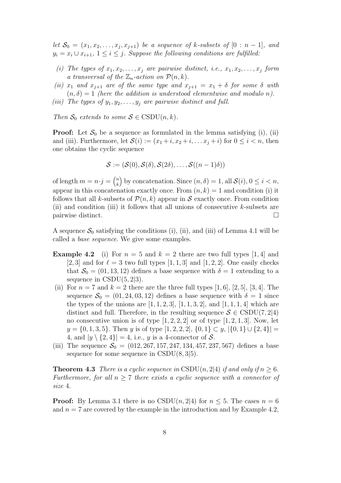let  $S_0 = (x_1, x_2, \ldots, x_j, x_{j+1})$  be a sequence of k-subsets of  $[0 : n-1]$ , and  $y_i = x_i \cup x_{i+1}, \ 1 \leq i \leq j$ . Suppose the following conditions are fulfilled:

- (i) The types of  $x_1, x_2, \ldots, x_j$  are pairwise distinct, i.e.,  $x_1, x_2, \ldots, x_j$  form a transversal of the  $\mathbb{Z}_n$ -action on  $\mathcal{P}(n,k)$ .
- (ii)  $x_1$  and  $x_{j+1}$  are of the same type and  $x_{j+1} = x_1 + \delta$  for some  $\delta$  with  $(n, \delta) = 1$  (here the addition is understood elementwise and modulo n).
- (iii) The types of  $y_1, y_2, \ldots, y_j$  are pairwise distinct and full.

Then  $S_0$  extends to some  $S \in \text{CSDU}(n, k)$ .

**Proof:** Let  $S_0$  be a sequence as formulated in the lemma satisfying (i), (ii) and (iii). Furthermore, let  $\mathcal{S}(i) := (x_1 + i, x_2 + i, \dots x_j + i)$  for  $0 \leq i < n$ , then one obtains the cyclic sequence

$$
\mathcal{S} := (\mathcal{S}(0), \mathcal{S}(\delta), \mathcal{S}(2\delta), \dots, \mathcal{S}((n-1)\delta))
$$

of length  $m = n \cdot j =$  $\sqrt{n}$ k ´ by concatenation. Since  $(n, \delta) = 1$ , all  $\mathcal{S}(i)$ ,  $0 \leq i < n$ , appear in this concatenation exactly once. From  $(n, k) = 1$  and condition (i) it follows that all k-subsets of  $\mathcal{P}(n, k)$  appear in S exactly once. From condition (ii) and condition (iii) it follows that all unions of consecutive k-subsets are pairwise distinct.  $\Box$ 

A sequence  $S_0$  satisfying the conditions (i), (ii), and (iii) of Lemma 4.1 will be called a base sequence. We give some examples.

- **Example 4.2** (i) For  $n = 5$  and  $k = 2$  there are two full types [1, 4] and [2, 3] and for  $\ell = 3$  two full types [1, 1, 3] and [1, 2, 2]. One easily checks that  $S_0 = (01, 13, 12)$  defines a base sequence with  $\delta = 1$  extending to a sequence in  $\text{CSDU}(5, 2|3)$ .
- (ii) For  $n = 7$  and  $k = 2$  there are the three full types [1, 6], [2, 5], [3, 4]. The sequence  $S_0 = (01, 24, 03, 12)$  defines a base sequence with  $\delta = 1$  since the types of the unions are  $[1, 1, 2, 3]$ ,  $[1, 1, 3, 2]$ , and  $[1, 1, 1, 4]$  which are distinct and full. Therefore, in the resulting sequence  $S \in \text{CSDU}(7, 2|4)$ no consecutive union is of type  $[1, 2, 2, 2]$  or of type  $[1, 2, 1, 3]$ . Now, let  $y = \{0, 1, 3, 5\}$ . Then y is of type  $[1, 2, 2, 2]$ ,  $\{0, 1\} \subset y$ ,  $|\{0, 1\} \cup \{2, 4\}| =$ 4, and  $|y \setminus \{2, 4\}| = 4$ , i.e., y is a 4-connector of S.
- (iii) The sequence  $S_0 = (012, 267, 157, 247, 134, 457, 237, 567)$  defines a base sequence for some sequence in  $\text{CSDU}(8,3|5)$ .

**Theorem 4.3** There is a cyclic sequence in CSDU(n, 2|4) if and only if  $n \geq 6$ . Furthermore, for all  $n \geq 7$  there exists a cyclic sequence with a connector of size 4.

**Proof:** By Lemma 3.1 there is no CSDU $(n, 2|4)$  for  $n \leq 5$ . The cases  $n = 6$ and  $n = 7$  are covered by the example in the introduction and by Example 4.2,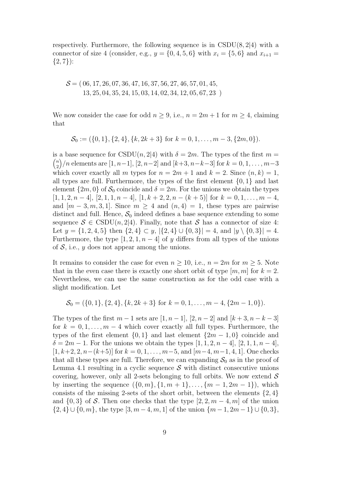respectively. Furthermore, the following sequence is in  $\text{CSDU}(8,2|4)$  with a connector of size 4 (consider, e.g.,  $y = \{0, 4, 5, 6\}$  with  $x_i = \{5, 6\}$  and  $x_{i+1} =$  $\{2, 7\}$ :

$$
S = (06, 17, 26, 07, 36, 47, 16, 37, 56, 27, 46, 57, 01, 45,13, 25, 04, 35, 24, 15, 03, 14, 02, 34, 12, 05, 67, 23)
$$

We now consider the case for odd  $n \geq 9$ , i.e.,  $n = 2m + 1$  for  $m \geq 4$ , claiming that

$$
\mathcal{S}_0 := (\{0,1\}, \{2,4\}, \{k,2k+3\} \text{ for } k = 0, 1, \dots, m-3, \{2m,0\}).
$$

is a base sequence for  $\text{CSDU}(n,2|4)$  with  $\delta = 2m$ . The types of the first  $m =$ n  $\binom{n}{2}/n$  elements are  $[1, n-1], [2, n-2]$  and  $[k+3, n-k-3]$  for  $k = 0, 1, ..., m-3$ which cover exactly all m types for  $n = 2m + 1$  and  $k = 2$ . Since  $(n, k) = 1$ , all types are full. Furthermore, the types of the first element  $\{0, 1\}$  and last element  $\{2m, 0\}$  of  $S_0$  coincide and  $\delta = 2m$ . For the unions we obtain the types  $[1, 1, 2, n-4]$ ,  $[2, 1, 1, n-4]$ ,  $[1, k+2, 2, n-(k+5)]$  for  $k=0, 1, ..., m-4$ , and  $[m-3, m, 3, 1]$ . Since  $m \geq 4$  and  $(n, 4) = 1$ , these types are pairwise distinct and full. Hence,  $S_0$  indeed defines a base sequence extending to some sequence  $S \in \text{CSDU}(n, 2|4)$ . Finally, note that S has a connector of size 4: Let  $y = \{1, 2, 4, 5\}$  then  $\{2, 4\} \subset y$ ,  $|\{2, 4\} \cup \{0, 3\}| = 4$ , and  $|y \setminus \{0, 3\}| = 4$ . Furthermore, the type  $[1, 2, 1, n-4]$  of y differs from all types of the unions of  $S$ , i.e., y does not appear among the unions.

It remains to consider the case for even  $n \geq 10$ , i.e.,  $n = 2m$  for  $m \geq 5$ . Note that in the even case there is exactly one short orbit of type  $[m, m]$  for  $k = 2$ . Nevertheless, we can use the same construction as for the odd case with a slight modification. Let

$$
\mathcal{S}_0 = (\{0, 1\}, \{2, 4\}, \{k, 2k + 3\} \text{ for } k = 0, 1, \dots, m - 4, \{2m - 1, 0\}).
$$

The types of the first  $m-1$  sets are  $[1, n-1]$ ,  $[2, n-2]$  and  $[k+3, n-k-3]$ for  $k = 0, 1, \ldots, m-4$  which cover exactly all full types. Furthermore, the types of the first element  $\{0,1\}$  and last element  $\{2m-1,0\}$  coincide and  $\delta = 2m - 1$ . For the unions we obtain the types  $[1, 1, 2, n - 4]$ ,  $[2, 1, 1, n - 4]$ ,  $[1, k+2, 2, n-(k+5)]$  for  $k = 0, 1, \ldots, m-5$ , and  $[m-4, m-1, 4, 1]$ . One checks that all these types are full. Therefore, we can expanding  $S_0$  as in the proof of Lemma 4.1 resulting in a cyclic sequence  $\mathcal S$  with distinct consecutive unions covering, however, only all 2-sets belonging to full orbits. We now extend  $\mathcal S$ by inserting the sequence  $({0,m}, {1,m+1}, \ldots, {m-1,2m-1})$ , which consists of the missing 2-sets of the short orbit, between the elements  $\{2, 4\}$ and  $\{0,3\}$  of S. Then one checks that the type  $[2, 2, m-4, m]$  of the union  $\{2,4\} \cup \{0,m\}$ , the type  $[3,m-4,m,1]$  of the union  $\{m-1,2m-1\} \cup \{0,3\}$ ,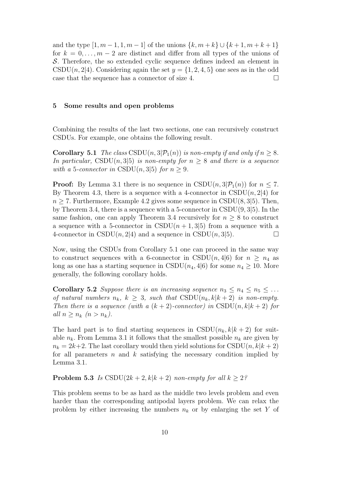and the type  $[1, m-1, 1, m-1]$  of the unions  $\{k, m+k\} \cup \{k+1, m+k+1\}$ for  $k = 0, \ldots, m-2$  are distinct and differ from all types of the unions of S. Therefore, the so extended cyclic sequence defines indeed an element in CSDU $(n, 2|4)$ . Considering again the set  $y = \{1, 2, 4, 5\}$  one sees as in the odd case that the sequence has a connector of size 4.  $\Box$ 

#### 5 Some results and open problems

Combining the results of the last two sections, one can recursively construct CSDUs. For example, one obtains the following result.

**Corollary 5.1** The class CSDU $(n, 3|\mathcal{P}_1(n))$  is non-empty if and only if  $n \geq 8$ . In particular, CSDU(n, 3|5) is non-empty for  $n \geq 8$  and there is a sequence with a 5-connector in CSDU(n, 3|5) for  $n \geq 9$ .

**Proof:** By Lemma 3.1 there is no sequence in  $\text{CSDU}(n, 3|\mathcal{P}_1(n))$  for  $n \leq 7$ . By Theorem 4.3, there is a sequence with a 4-connector in  $\text{CSDU}(n, 2|4)$  for  $n \geq 7$ . Furthermore, Example 4.2 gives some sequence in CSDU(8, 3|5). Then, by Theorem 3.4, there is a sequence with a 5-connector in CSDU(9, 3|5). In the same fashion, one can apply Theorem 3.4 recursively for  $n \geq 8$  to construct a sequence with a 5-connector in CSDU $(n+1, 3|5)$  from a sequence with a 4-connector in  $\text{CSDU}(n, 2|4)$  and a sequence in  $\text{CSDU}(n, 3|5)$ .

Now, using the CSDUs from Corollary 5.1 one can proceed in the same way to construct sequences with a 6-connector in CSDU $(n, 4|6)$  for  $n \geq n_4$  as long as one has a starting sequence in CSDU( $n_4$ , 4|6) for some  $n_4 \geq 10$ . More generally, the following corollary holds.

**Corollary 5.2** Suppose there is an increasing sequence  $n_3 \leq n_4 \leq n_5 \leq \ldots$ of natural numbers  $n_k$ ,  $k \geq 3$ , such that  $\text{CSDU}(n_k, k|k+2)$  is non-empty. Then there is a sequence (with a  $(k+2)$ -connector) in CSDU(n,  $k|k+2$ ) for all  $n \geq n_k$   $(n > n_k)$ .

The hard part is to find starting sequences in  $\text{CSDU}(n_k, k|k+2)$  for suitable  $n_k$ . From Lemma 3.1 it follows that the smallest possible  $n_k$  are given by  $n_k = 2k+2$ . The last corollary would then yield solutions for CSDU(n,  $k|k+2$ ) for all parameters  $n$  and  $k$  satisfying the necessary condition implied by Lemma 3.1.

**Problem 5.3** Is CSDU(2k + 2, k|k + 2) non-empty for all  $k \geq 2$ ?

This problem seems to be as hard as the middle two levels problem and even harder than the corresponding antipodal layers problem. We can relax the problem by either increasing the numbers  $n_k$  or by enlarging the set Y of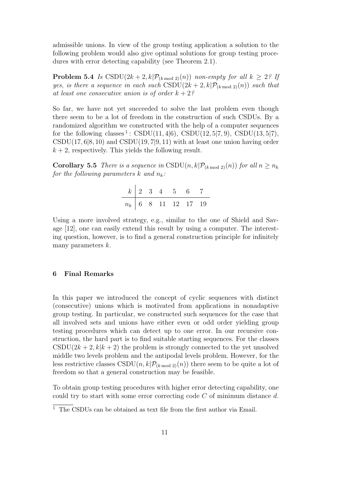admissible unions. In view of the group testing application a solution to the following problem would also give optimal solutions for group testing procedures with error detecting capability (see Theorem 2.1).

**Problem 5.4** Is  $\text{CSDU}(2k+2, k | \mathcal{P}_{(k \mod 2)}(n))$  non-empty for all  $k \geq 2$ ? If yes, is there a sequence in each such CSDU( $2k + 2$ ,  $k\mathcal{P}_{(k \mod 2)}(n)$ ) such that at least one consecutive union is of order  $k + 2$ ?

So far, we have not yet succeeded to solve the last problem even though there seem to be a lot of freedom in the construction of such CSDUs. By a randomized algorithm we constructed with the help of a computer sequences for the following classes<sup>1</sup>:  $CSDU(11, 4|6)$ ,  $CSDU(12, 5|7, 9)$ ,  $CSDU(13, 5|7)$ ,  $\text{CSDU}(17, 6|8, 10)$  and  $\text{CSDU}(19, 7|9, 11)$  with at least one union having order  $k + 2$ , respectively. This yields the following result.

**Corollary 5.5** There is a sequence in CSDU(n, k| $\mathcal{P}_{(k \mod 2)}(n)$ ) for all  $n \geq n_k$ for the following parameters  $k$  and  $n_k$ :

|  |  | $k$ 2 3 4 5 6 7       |  |
|--|--|-----------------------|--|
|  |  | $n_k$ 6 8 11 12 17 19 |  |

Using a more involved strategy, e.g., similar to the one of Shield and Savage [12], one can easily extend this result by using a computer. The interesting question, however, is to find a general construction principle for infinitely many parameters  $k$ .

# 6 Final Remarks

In this paper we introduced the concept of cyclic sequences with distinct (consecutive) unions which is motivated from applications in nonadaptive group testing. In particular, we constructed such sequences for the case that all involved sets and unions have either even or odd order yielding group testing procedures which can detect up to one error. In our recursive construction, the hard part is to find suitable starting sequences. For the classes  $\text{CSDU}(2k+2, k|k+2)$  the problem is strongly connected to the yet unsolved middle two levels problem and the antipodal levels problem. However, for the less restrictive classes  $\text{CSDU}(n, k | \mathcal{P}_{(k \mod 2)}(n))$  there seem to be quite a lot of freedom so that a general construction may be feasible.

To obtain group testing procedures with higher error detecting capability, one could try to start with some error correcting code C of minimum distance d.

 $1$  The CSDUs can be obtained as text file from the first author via Email.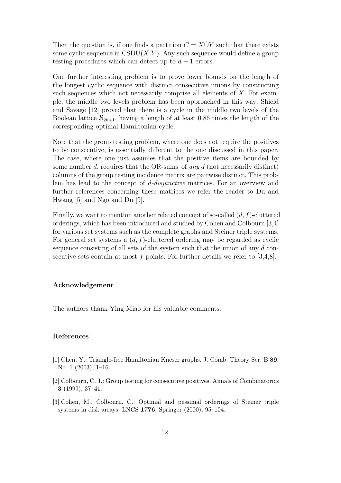Then the question is, if one finds a partition  $C = X\dot{\cup}Y$  such that there exists some cyclic sequence in  $\text{CSDU}(X|Y)$ . Any such sequence would define a group testing procedures which can detect up to  $d-1$  errors.

One further interesting problem is to prove lower bounds on the length of the longest cyclic sequence with distinct consecutive unions by constructing such sequences which not necessarily comprise all elements of  $X$ . For example, the middle two levels problem has been approached in this way: Shield and Savage [12] proved that there is a cycle in the middle two levels of the Boolean lattice  $\mathcal{B}_{2k+1}$ , having a length of at least 0.86 times the length of the corresponding optimal Hamiltonian cycle.

Note that the group testing problem, where one does not require the positives to be consecutive, is essentially different to the one discussed in this paper. The case, where one just assumes that the positive items are bounded by some number d, requires that the OR-sums of any  $d$  (not necessarily distinct) columns of the group testing incidence matrix are pairwise distinct. This problem has lead to the concept of d-disjunctive matrices. For an overview and further references concerning these matrices we refer the reader to Du and Hwang [5] and Ngo and Du [9].

Finally, we want to mention another related concept of so-called  $(d, f)$ -cluttered orderings, which has been introduced and studied by Cohen and Colbourn [3,4] for various set systems such as the complete graphs and Steiner triple systems. For general set systems a  $(d, f)$ -cluttered ordering may be regarded as cyclic sequence consisting of all sets of the system such that the union of any d consecutive sets contain at most  $f$  points. For further details we refer to [3,4,8].

## Acknowledgement

The authors thank Ying Miao for his valuable comments.

## References

- [1] Chen, Y.: Triangle-free Hamiltonian Kneser graphs. J. Comb. Theory Ser. B 89, No. 1 (2003), 1–16
- [2] Colbourn, C. J.: Group testing for consecutive positives. Annals of Combinatorics 3 (1999), 37–41.
- [3] Cohen, M., Colbourn, C.: Optimal and pessimal orderings of Steiner triple systems in disk arrays. LNCS 1776, Springer (2000), 95–104.